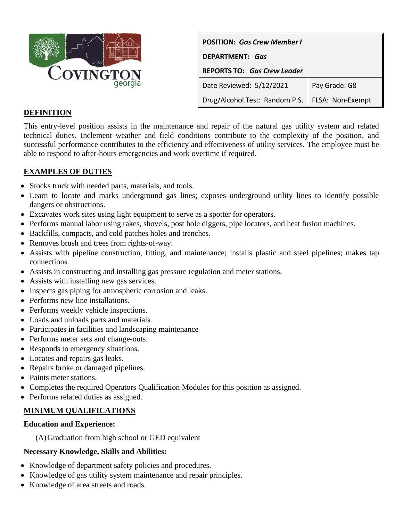

| <b>POSITION: Gas Crew Member I</b> |                  |
|------------------------------------|------------------|
| DEPARTMENT: Gas                    |                  |
| <b>REPORTS TO: Gas Crew Leader</b> |                  |
| Date Reviewed: 5/12/2021           | Pay Grade: G8    |
| Drug/Alcohol Test: Random P.S.     | FLSA: Non-Exempt |

## **DEFINITION**

This entry-level position assists in the maintenance and repair of the natural gas utility system and related technical duties. Inclement weather and field conditions contribute to the complexity of the position, and successful performance contributes to the efficiency and effectiveness of utility services. The employee must be able to respond to after-hours emergencies and work overtime if required.

# **EXAMPLES OF DUTIES**

- Stocks truck with needed parts, materials, and tools.
- Learn to locate and marks underground gas lines; exposes underground utility lines to identify possible dangers or obstructions.
- Excavates work sites using light equipment to serve as a spotter for operators.
- Performs manual labor using rakes, shovels, post hole diggers, pipe locators, and heat fusion machines.
- Backfills, compacts, and cold patches holes and trenches.
- Removes brush and trees from rights-of-way.
- Assists with pipeline construction, fitting, and maintenance; installs plastic and steel pipelines; makes tap connections.
- Assists in constructing and installing gas pressure regulation and meter stations.
- Assists with installing new gas services.
- Inspects gas piping for atmospheric corrosion and leaks.
- Performs new line installations.
- Performs weekly vehicle inspections.
- Loads and unloads parts and materials.
- Participates in facilities and landscaping maintenance
- Performs meter sets and change-outs.
- Responds to emergency situations.
- Locates and repairs gas leaks.
- Repairs broke or damaged pipelines.
- Paints meter stations.
- Completes the required Operators Qualification Modules for this position as assigned.
- Performs related duties as assigned.

## **MINIMUM QUALIFICATIONS**

#### **Education and Experience:**

(A)Graduation from high school or GED equivalent

## **Necessary Knowledge, Skills and Abilities:**

- Knowledge of department safety policies and procedures.
- Knowledge of gas utility system maintenance and repair principles.
- Knowledge of area streets and roads.